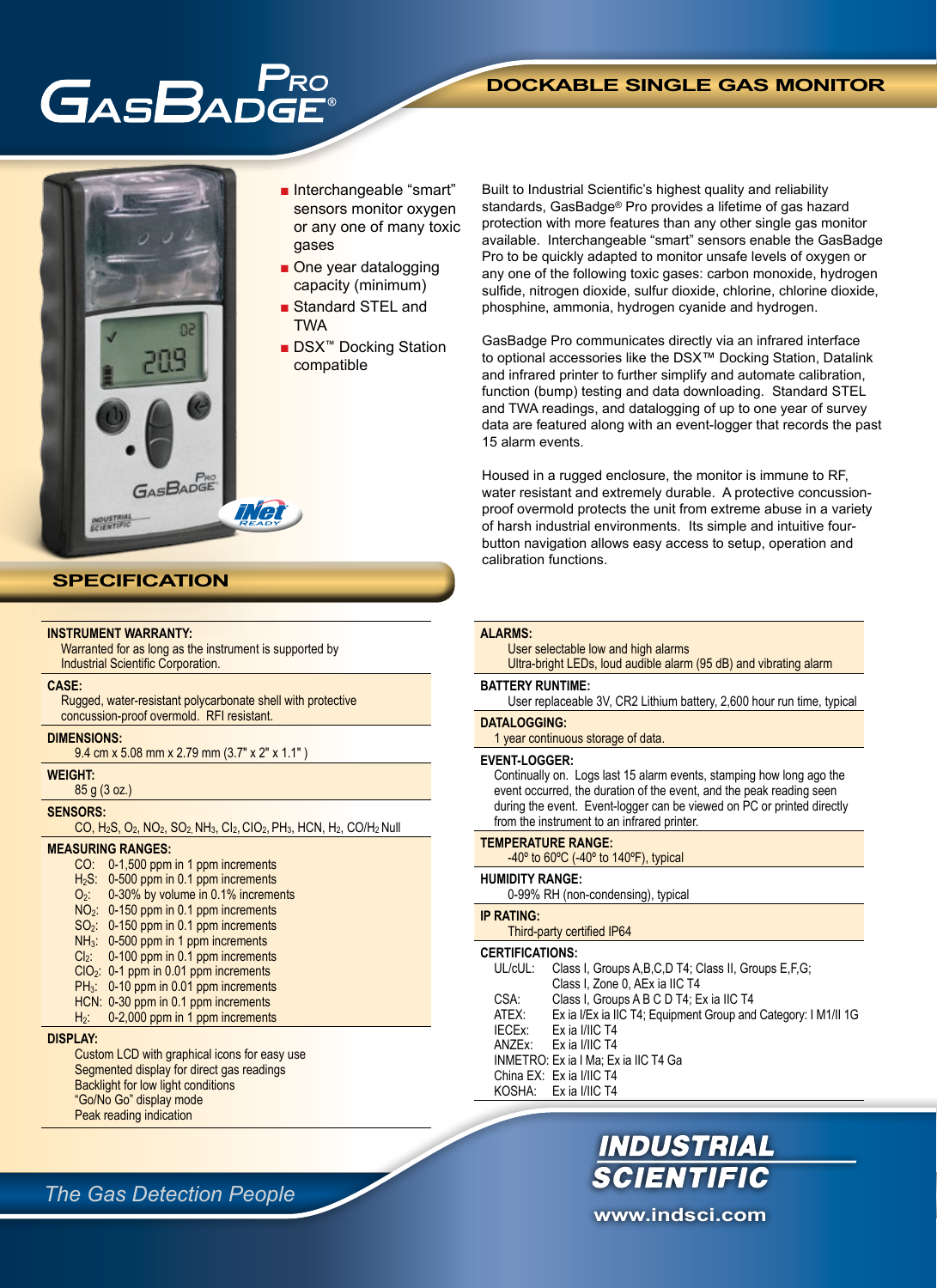# GASBADG

# **DOCKABLE SINGLE GAS MONITOR**



**INSTRUMENT WARRANTY:**

**CASE:**

**DIMENSIONS:**

85 g (3 oz.)

**MEASURING RANGES:**

**WEIGHT:**

**SENSORS:**

**DISPLAY:**

Industrial Scientific Corporation.

concussion-proof overmold. RFI resistant.

Warranted for as long as the instrument is supported by

Rugged, water-resistant polycarbonate shell with protective

 $CO$ , H<sub>2</sub>S, O<sub>2</sub>, NO<sub>2</sub>, SO<sub>2</sub>, NH<sub>3</sub>, Cl<sub>2</sub>, ClO<sub>2</sub>, PH<sub>3</sub>, HCN, H<sub>2</sub>, CO/H<sub>2</sub> Null

9.4 cm x 5.08 mm x 2.79 mm (3.7" x 2" x 1.1" )

CO: 0-1,500 ppm in 1 ppm increments H<sub>2</sub>S: 0-500 ppm in 0.1 ppm increments O2: 0-30% by volume in 0.1% increments NO2: 0-150 ppm in 0.1 ppm increments SO2: 0-150 ppm in 0.1 ppm increments NH<sub>3</sub>: 0-500 ppm in 1 ppm increments Cl<sub>2</sub>: 0-100 ppm in 0.1 ppm increments ClO2: 0-1 ppm in 0.01 ppm increments PH<sub>3</sub>: 0-10 ppm in 0.01 ppm increments HCN: 0-30 ppm in 0.1 ppm increments  $H_2$ : 0-2,000 ppm in 1 ppm increments

- Interchangeable "smart" sensors monitor oxygen or any one of many toxic gases
- One year datalogging capacity (minimum)
- Standard STEL and **TWA**
- DSX<sup>™</sup> Docking Station compatible

Built to Industrial Scientific's highest quality and reliability standards, GasBadge® Pro provides a lifetime of gas hazard protection with more features than any other single gas monitor available. Interchangeable "smart" sensors enable the GasBadge Pro to be quickly adapted to monitor unsafe levels of oxygen or any one of the following toxic gases: carbon monoxide, hydrogen sulfide, nitrogen dioxide, sulfur dioxide, chlorine, chlorine dioxide, phosphine, ammonia, hydrogen cyanide and hydrogen.

GasBadge Pro communicates directly via an infrared interface to optional accessories like the DSX™ Docking Station, Datalink and infrared printer to further simplify and automate calibration, function (bump) testing and data downloading. Standard STEL and TWA readings, and datalogging of up to one year of survey data are featured along with an event-logger that records the past 15 alarm events.

Housed in a rugged enclosure, the monitor is immune to RF, water resistant and extremely durable. A protective concussionproof overmold protects the unit from extreme abuse in a variety of harsh industrial environments. Its simple and intuitive fourbutton navigation allows easy access to setup, operation and calibration functions.

#### **ALARMS:**

User selectable low and high alarms Ultra-bright LEDs, loud audible alarm (95 dB) and vibrating alarm

#### **BATTERY RUNTIME:**

User replaceable 3V, CR2 Lithium battery, 2,600 hour run time, typical

#### **DATALOGGING:**

1 year continuous storage of data.

#### **EVENT-LOGGER:**

Continually on. Logs last 15 alarm events, stamping how long ago the event occurred, the duration of the event, and the peak reading seen during the event. Event-logger can be viewed on PC or printed directly from the instrument to an infrared printer.

#### **TEMPERATURE RANGE:**

 $-40^\circ$  to 60 $\degree$ C ( $-40^\circ$  to 140 $\degree$ F), typical

### **HUMIDITY RANGE:**

0-99% RH (non-condensing), typical

## **IP RATING:**

Third-party certified IP64

### **CERTIFICATIONS:**

| UL/cUL: | Class I, Groups A, B, C, D T4; Class II, Groups E, F, G;       |
|---------|----------------------------------------------------------------|
|         | Class I, Zone 0, AEx ia IIC T4                                 |
| CSA:    | Class I, Groups A B C D T4; Ex ia IIC T4                       |
| ATEX:   | Ex ia I/Ex ia IIC T4; Equipment Group and Category: I M1/II 1G |
| IECEx:  | Ex ia I/IIC T4                                                 |
| ANZFx:  | Fx ia I/IIC T4                                                 |
|         | INMETRO: Ex ia I Ma; Ex ia IIC T4 Ga                           |
|         | China EX: Ex ia I/IIC T4                                       |
|         | KOSHA: Ex ia I/IIC T4                                          |
|         |                                                                |

# *The Gas Detection People*

Custom LCD with graphical icons for easy use Segmented display for direct gas readings Backlight for low light conditions "Go/No Go" display mode Peak reading indication

**www.indsci.com**

**INDUSTRIAL<br>SCIENTIFIC**